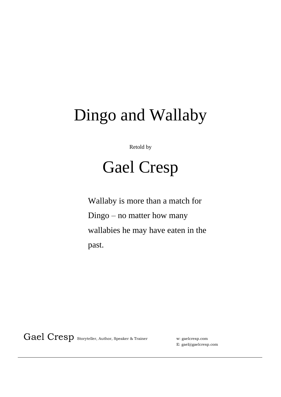## Dingo and Wallaby

Retold by

## Gael Cresp

Wallaby is more than a match for Dingo – no matter how many wallabies he may have eaten in the past.

Gael Cresp Storyteller, Author, Speaker & Trainer w: gaelcresp.com

E: gael@gaelcresp.com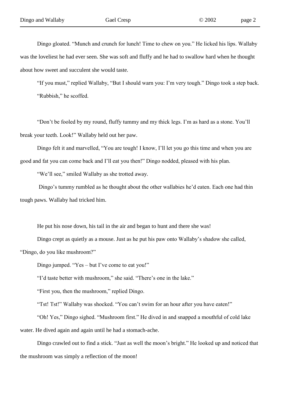Dingo gloated. "Munch and crunch for lunch! Time to chew on you." He licked his lips. Wallaby was the loveliest he had ever seen. She was soft and fluffy and he had to swallow hard when he thought about how sweet and succulent she would taste.

"If you must," replied Wallaby, "But I should warn you: I"m very tough." Dingo took a step back. "Rubbish," he scoffed.

"Don"t be fooled by my round, fluffy tummy and my thick legs. I"m as hard as a stone. You"ll break your teeth. Look!" Wallaby held out her paw.

Dingo felt it and marvelled, "You are tough! I know, I"ll let you go this time and when you are good and fat you can come back and I"ll eat you then!" Dingo nodded, pleased with his plan.

"We'll see," smiled Wallaby as she trotted away.

Dingo's tummy rumbled as he thought about the other wallabies he'd eaten. Each one had thin tough paws. Wallaby had tricked him.

He put his nose down, his tail in the air and began to hunt and there she was!

Dingo crept as quietly as a mouse. Just as he put his paw onto Wallaby"s shadow she called,

"Dingo, do you like mushroom?"

Dingo jumped. "Yes – but I've come to eat you!"

"I'd taste better with mushroom," she said. "There's one in the lake."

"First you, then the mushroom," replied Dingo.

"Tst! Tst!" Wallaby was shocked. "You can"t swim for an hour after you have eaten!"

"Oh! Yes," Dingo sighed. "Mushroom first." He dived in and snapped a mouthful of cold lake water. He dived again and again until he had a stomach-ache.

Dingo crawled out to find a stick. "Just as well the moon"s bright." He looked up and noticed that the mushroom was simply a reflection of the moon!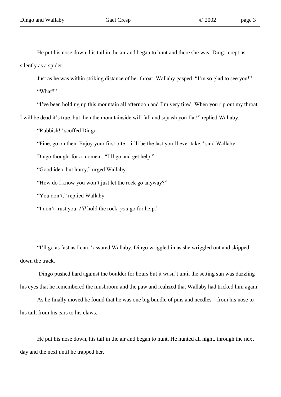He put his nose down, his tail in the air and began to hunt and there she was! Dingo crept as silently as a spider.

Just as he was within striking distance of her throat, Wallaby gasped, "I"m so glad to see you!" "What?"

"I"ve been holding up this mountain all afternoon and I"m very tired. When you rip out my throat I will be dead it"s true, but then the mountainside will fall and squash you flat!" replied Wallaby.

"Rubbish!" scoffed Dingo.

"Fine, go on then. Enjoy your first bite – it"ll be the last you"ll ever take," said Wallaby.

Dingo thought for a moment. "I"ll go and get help."

"Good idea, but hurry," urged Wallaby.

"How do I know you won"t just let the rock go anyway?"

"You don't," replied Wallaby.

"I don"t trust you. *I'll* hold the rock, *you* go for help."

"I"ll go as fast as I can," assured Wallaby. Dingo wriggled in as she wriggled out and skipped down the track.

Dingo pushed hard against the boulder for hours but it wasn't until the setting sun was dazzling his eyes that he remembered the mushroom and the paw and realized that Wallaby had tricked him again.

As he finally moved he found that he was one big bundle of pins and needles – from his nose to his tail, from his ears to his claws.

He put his nose down, his tail in the air and began to hunt. He hunted all night, through the next day and the next until he trapped her.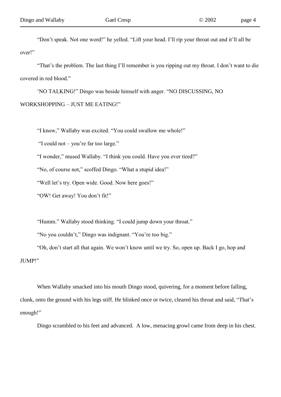"That's the problem. The last thing I'll remember is you ripping out my throat. I don't want to die covered in red blood."

"NO TALKING!" Dingo was beside himself with anger. "NO DISCUSSING, NO WORKSHOPPING – JUST ME EATING!"

"I know," Wallaby was excited. "You could swallow me whole!"

"I could not – you"re far too large."

"I wonder," mused Wallaby. "I think you could. Have you ever tired?"

"No, of course not," scoffed Dingo. "What a stupid idea!"

"Well let's try. Open wide. Good. Now here goes!"

"OW! Get away! You don"t fit!"

"Humm." Wallaby stood thinking. "I could jump down your throat."

"No you couldn't," Dingo was indignant. "You're too big."

"Oh, don"t start all that again. We won"t know until we try. So, open up. Back I go, hop and JUMP!"

When Wallaby smacked into his mouth Dingo stood, quivering, for a moment before falling. clunk, onto the ground with his legs stiff. He blinked once or twice, cleared his throat and said, "That"s enough!"

Dingo scrambled to his feet and advanced. A low, menacing growl came from deep in his chest.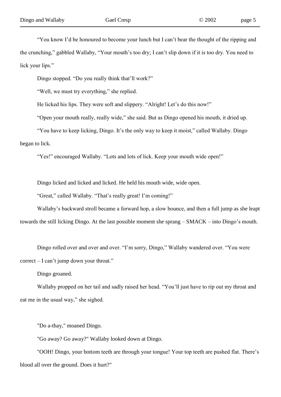"You know I"d be honoured to become your lunch but I can"t bear the thought of the ripping and the crunching," gabbled Wallaby, "Your mouth's too dry; I can't slip down if it is too dry. You need to lick your lips."

Dingo stopped. "Do you really think that'll work?"

"Well, we must try everything," she replied.

He licked his lips. They were soft and slippery. "Alright! Let's do this now!"

"Open your mouth really, really wide," she said. But as Dingo opened his mouth, it dried up.

"You have to keep licking, Dingo. It"s the only way to keep it moist," called Wallaby. Dingo began to lick.

"Yes!" encouraged Wallaby. "Lots and lots of lick. Keep your mouth wide open!"

Dingo licked and licked and licked. He held his mouth wide, wide open.

"Great," called Wallaby. "That's really great! I'm coming!"

Wallaby"s backward stroll became a forward hop, a slow bounce, and then a full jump as she leapt towards the still licking Dingo. At the last possible moment she sprang – SMACK – into Dingo"s mouth.

Dingo rolled over and over and over. "I'm sorry, Dingo," Wallaby wandered over. "You were correct – I can"t jump down your throat."

Dingo groaned.

Wallaby propped on her tail and sadly raised her head. "You'll just have to rip out my throat and eat me in the usual way," she sighed.

"Do a-thay," moaned Dingo.

"Go away? Go away?" Wallaby looked down at Dingo.

"OOH! Dingo, your bottom teeth are through your tongue! Your top teeth are pushed flat. There"s blood all over the ground. Does it hurt?"